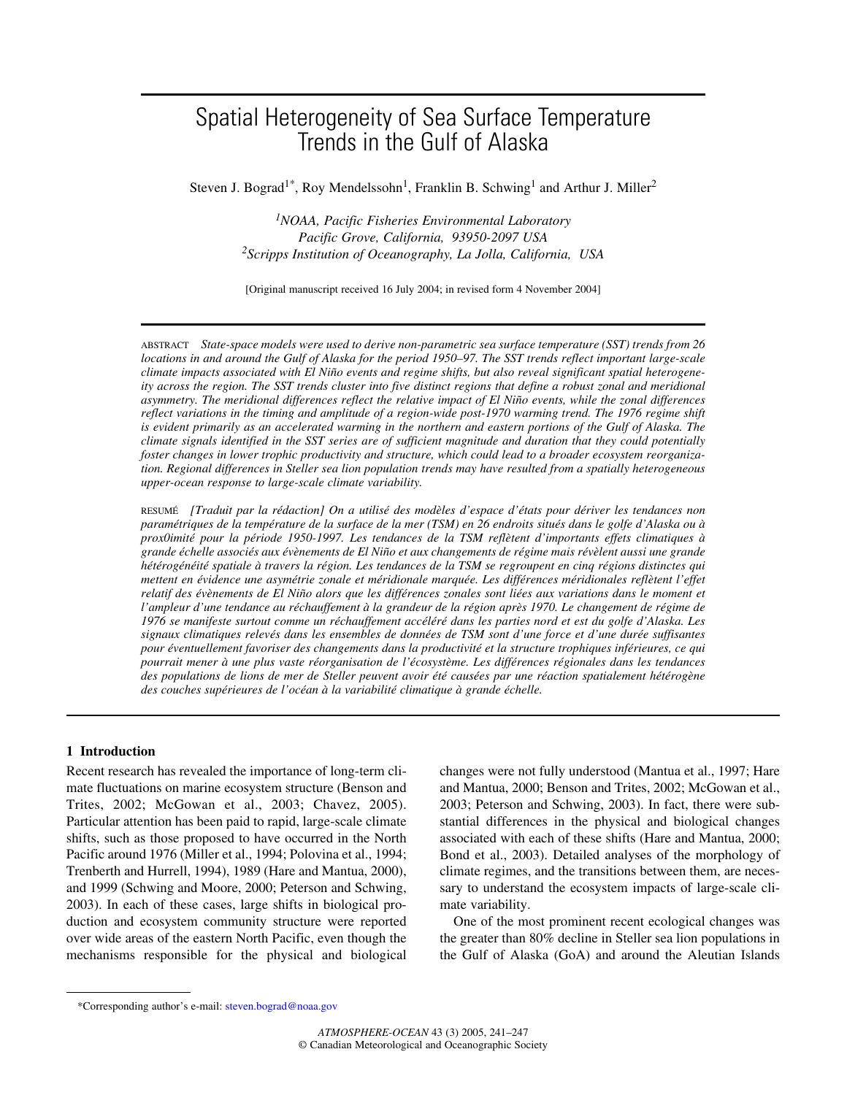# Spatial Heterogeneity of Sea Surface Temperature Trends in the Gulf of Alaska

Steven J. Bograd<sup>1\*</sup>, Roy Mendelssohn<sup>1</sup>, Franklin B. Schwing<sup>1</sup> and Arthur J. Miller<sup>2</sup>

*1NOAA, Pacific Fisheries Environmental Laboratory Pacific Grove, California, 93950-2097 USA 2Scripps Institution of Oceanography, La Jolla, California, USA*

[Original manuscript received 16 July 2004; in revised form 4 November 2004]

ABSTRACT *State-space models were used to derive non-parametric sea surface temperature (SST) trends from 26 locations in and around the Gulf of Alaska for the period 1950–97. The SST trends reflect important large-scale climate impacts associated with El Niño events and regime shifts, but also reveal significant spatial heterogeneity across the region. The SST trends cluster into five distinct regions that define a robust zonal and meridional asymmetry. The meridional differences reflect the relative impact of El Niño events, while the zonal differences reflect variations in the timing and amplitude of a region-wide post-1970 warming trend. The 1976 regime shift is evident primarily as an accelerated warming in the northern and eastern portions of the Gulf of Alaska. The climate signals identified in the SST series are of sufficient magnitude and duration that they could potentially foster changes in lower trophic productivity and structure, which could lead to a broader ecosystem reorganization. Regional differences in Steller sea lion population trends may have resulted from a spatially heterogeneous upper-ocean response to large-scale climate variability.*

RESUMÉ *[Traduit par la rédaction] On a utilisé des modèles d'espace d'états pour dériver les tendances non paramétriques de la température de la surface de la mer (TSM) en 26 endroits situés dans le golfe d'Alaska ou à prox0imité pour la période 1950-1997. Les tendances de la TSM reflètent d'importants effets climatiques à grande échelle associés aux évènements de El Niño et aux changements de régime mais révèlent aussi une grande hétérogénéité spatiale à travers la région. Les tendances de la TSM se regroupent en cinq régions distinctes qui mettent en évidence une asymétrie zonale et méridionale marquée. Les différences méridionales reflètent l'effet relatif des évènements de El Niño alors que les différences zonales sont liées aux variations dans le moment et l'ampleur d'une tendance au réchauffement à la grandeur de la région après 1970. Le changement de régime de 1976 se manifeste surtout comme un réchauffement accéléré dans les parties nord et est du golfe d'Alaska. Les signaux climatiques relevés dans les ensembles de données de TSM sont d'une force et d'une durée suffisantes pour éventuellement favoriser des changements dans la productivité et la structure trophiques inférieures, ce qui pourrait mener à une plus vaste réorganisation de l'écosystème. Les différences régionales dans les tendances des populations de lions de mer de Steller peuvent avoir été causées par une réaction spatialement hétérogène des couches supérieures de l'océan à la variabilité climatique à grande échelle.*

## **1 Introduction**

Recent research has revealed the importance of long-term climate fluctuations on marine ecosystem structure (Benson and Trites, 2002; McGowan et al., 2003; Chavez, 2005). Particular attention has been paid to rapid, large-scale climate shifts, such as those proposed to have occurred in the North Pacific around 1976 (Miller et al., 1994; Polovina et al., 1994; Trenberth and Hurrell, 1994), 1989 (Hare and Mantua, 2000), and 1999 (Schwing and Moore, 2000; Peterson and Schwing, 2003). In each of these cases, large shifts in biological production and ecosystem community structure were reported over wide areas of the eastern North Pacific, even though the mechanisms responsible for the physical and biological

changes were not fully understood (Mantua et al., 1997; Hare and Mantua, 2000; Benson and Trites, 2002; McGowan et al., 2003; Peterson and Schwing, 2003). In fact, there were substantial differences in the physical and biological changes associated with each of these shifts (Hare and Mantua, 2000; Bond et al., 2003). Detailed analyses of the morphology of climate regimes, and the transitions between them, are necessary to understand the ecosystem impacts of large-scale climate variability.

One of the most prominent recent ecological changes was the greater than 80% decline in Steller sea lion populations in the Gulf of Alaska (GoA) and around the Aleutian Islands

<sup>\*</sup>Corresponding author's e-mail: [steven.bograd@noaa.gov](mailto:steven.bograd@noaa.gov)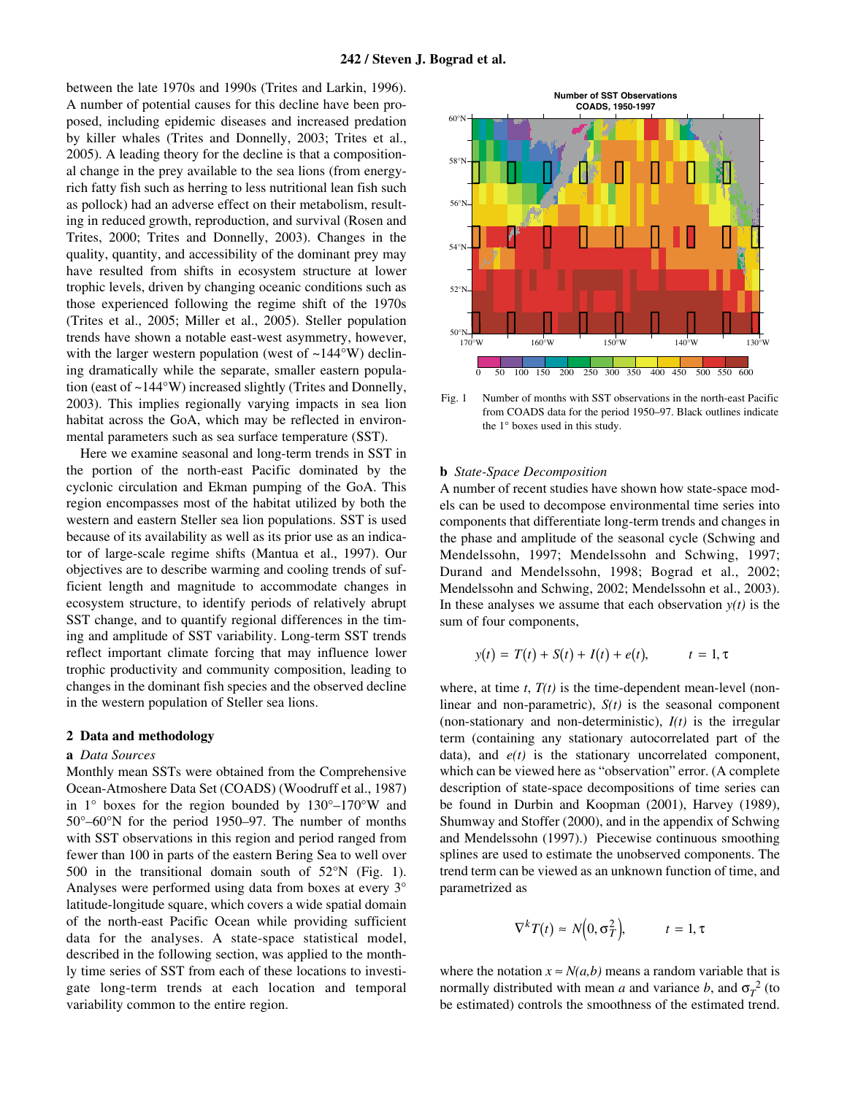between the late 1970s and 1990s (Trites and Larkin, 1996). A number of potential causes for this decline have been proposed, including epidemic diseases and increased predation by killer whales (Trites and Donnelly, 2003; Trites et al., 2005). A leading theory for the decline is that a compositional change in the prey available to the sea lions (from energyrich fatty fish such as herring to less nutritional lean fish such as pollock) had an adverse effect on their metabolism, resulting in reduced growth, reproduction, and survival (Rosen and Trites, 2000; Trites and Donnelly, 2003). Changes in the quality, quantity, and accessibility of the dominant prey may have resulted from shifts in ecosystem structure at lower trophic levels, driven by changing oceanic conditions such as those experienced following the regime shift of the 1970s (Trites et al., 2005; Miller et al., 2005). Steller population trends have shown a notable east-west asymmetry, however, with the larger western population (west of ~144°W) declining dramatically while the separate, smaller eastern population (east of ~144°W) increased slightly (Trites and Donnelly, 2003). This implies regionally varying impacts in sea lion habitat across the GoA, which may be reflected in environmental parameters such as sea surface temperature (SST).

Here we examine seasonal and long-term trends in SST in the portion of the north-east Pacific dominated by the cyclonic circulation and Ekman pumping of the GoA. This region encompasses most of the habitat utilized by both the western and eastern Steller sea lion populations. SST is used because of its availability as well as its prior use as an indicator of large-scale regime shifts (Mantua et al., 1997). Our objectives are to describe warming and cooling trends of sufficient length and magnitude to accommodate changes in ecosystem structure, to identify periods of relatively abrupt SST change, and to quantify regional differences in the timing and amplitude of SST variability. Long-term SST trends reflect important climate forcing that may influence lower trophic productivity and community composition, leading to changes in the dominant fish species and the observed decline in the western population of Steller sea lions.

## **2 Data and methodology**

## **a** *Data Sources*

Monthly mean SSTs were obtained from the Comprehensive Ocean-Atmoshere Data Set (COADS) (Woodruff et al., 1987) in 1° boxes for the region bounded by 130°–170°W and 50°–60°N for the period 1950–97. The number of months with SST observations in this region and period ranged from fewer than 100 in parts of the eastern Bering Sea to well over 500 in the transitional domain south of 52°N (Fig. 1). Analyses were performed using data from boxes at every 3° latitude-longitude square, which covers a wide spatial domain of the north-east Pacific Ocean while providing sufficient data for the analyses. A state-space statistical model, described in the following section, was applied to the monthly time series of SST from each of these locations to investigate long-term trends at each location and temporal variability common to the entire region.



Fig. 1 Number of months with SST observations in the north-east Pacific from COADS data for the period 1950–97. Black outlines indicate the 1° boxes used in this study.

## **b** *State-Space Decomposition*

A number of recent studies have shown how state-space models can be used to decompose environmental time series into components that differentiate long-term trends and changes in the phase and amplitude of the seasonal cycle (Schwing and Mendelssohn, 1997; Mendelssohn and Schwing, 1997; Durand and Mendelssohn, 1998; Bograd et al., 2002; Mendelssohn and Schwing, 2002; Mendelssohn et al., 2003). In these analyses we assume that each observation  $y(t)$  is the sum of four components,

$$
y(t) = T(t) + S(t) + I(t) + e(t), \t t = 1, \tau
$$

where, at time  $t$ ,  $T(t)$  is the time-dependent mean-level (nonlinear and non-parametric),  $S(t)$  is the seasonal component (non-stationary and non-deterministic),  $I(t)$  is the irregular term (containing any stationary autocorrelated part of the data), and *e(t)* is the stationary uncorrelated component, which can be viewed here as "observation" error. (A complete description of state-space decompositions of time series can be found in Durbin and Koopman (2001), Harvey (1989), Shumway and Stoffer (2000), and in the appendix of Schwing and Mendelssohn (1997).) Piecewise continuous smoothing splines are used to estimate the unobserved components. The trend term can be viewed as an unknown function of time, and parametrized as

$$
\nabla^k T(t) \approx N\Big(0, \sigma_T^2\Big), \qquad t = 1, \tau
$$

where the notation  $x \approx N(a,b)$  means a random variable that is normally distributed with mean *a* and variance *b*, and  $\sigma_T^2$  (to be estimated) controls the smoothness of the estimated trend.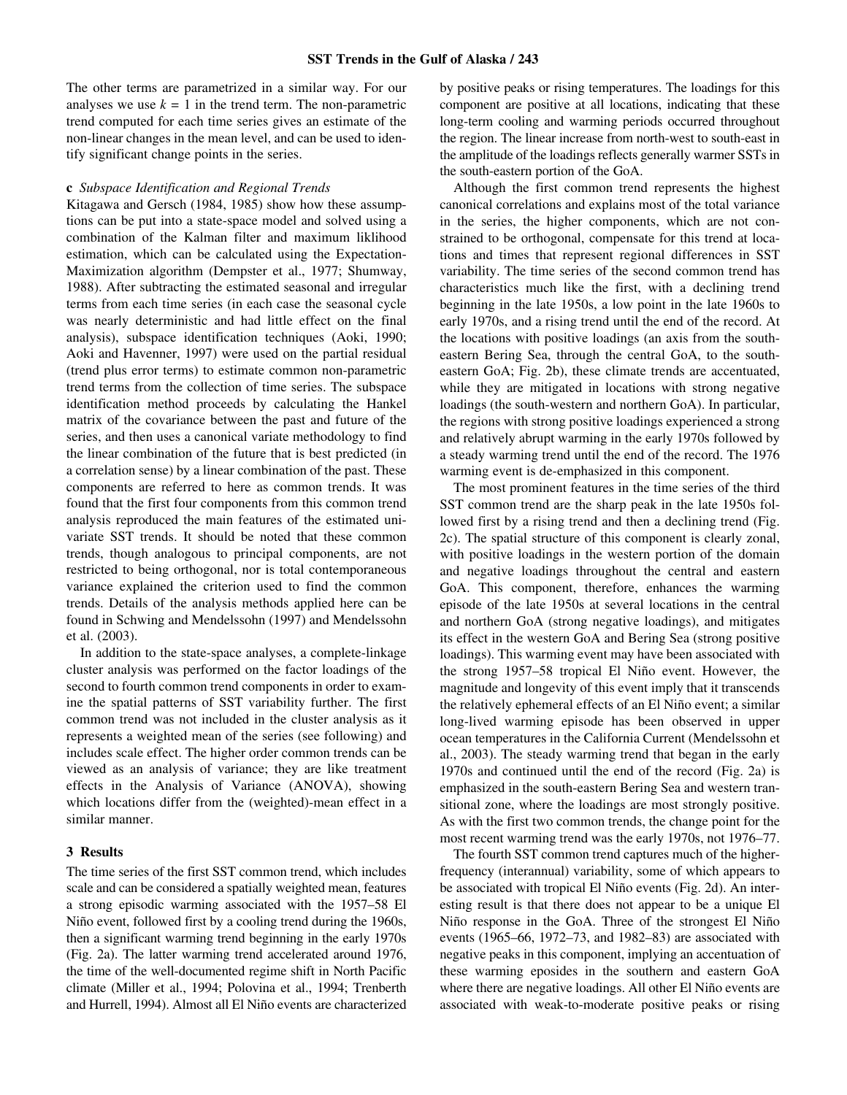The other terms are parametrized in a similar way. For our analyses we use  $k = 1$  in the trend term. The non-parametric trend computed for each time series gives an estimate of the non-linear changes in the mean level, and can be used to identify significant change points in the series.

### **c** *Subspace Identification and Regional Trends*

Kitagawa and Gersch (1984, 1985) show how these assumptions can be put into a state-space model and solved using a combination of the Kalman filter and maximum liklihood estimation, which can be calculated using the Expectation-Maximization algorithm (Dempster et al., 1977; Shumway, 1988). After subtracting the estimated seasonal and irregular terms from each time series (in each case the seasonal cycle was nearly deterministic and had little effect on the final analysis), subspace identification techniques (Aoki, 1990; Aoki and Havenner, 1997) were used on the partial residual (trend plus error terms) to estimate common non-parametric trend terms from the collection of time series. The subspace identification method proceeds by calculating the Hankel matrix of the covariance between the past and future of the series, and then uses a canonical variate methodology to find the linear combination of the future that is best predicted (in a correlation sense) by a linear combination of the past. These components are referred to here as common trends. It was found that the first four components from this common trend analysis reproduced the main features of the estimated univariate SST trends. It should be noted that these common trends, though analogous to principal components, are not restricted to being orthogonal, nor is total contemporaneous variance explained the criterion used to find the common trends. Details of the analysis methods applied here can be found in Schwing and Mendelssohn (1997) and Mendelssohn et al. (2003).

In addition to the state-space analyses, a complete-linkage cluster analysis was performed on the factor loadings of the second to fourth common trend components in order to examine the spatial patterns of SST variability further. The first common trend was not included in the cluster analysis as it represents a weighted mean of the series (see following) and includes scale effect. The higher order common trends can be viewed as an analysis of variance; they are like treatment effects in the Analysis of Variance (ANOVA), showing which locations differ from the (weighted)-mean effect in a similar manner.

## **3 Results**

The time series of the first SST common trend, which includes scale and can be considered a spatially weighted mean, features a strong episodic warming associated with the 1957–58 El Niño event, followed first by a cooling trend during the 1960s, then a significant warming trend beginning in the early 1970s (Fig. 2a). The latter warming trend accelerated around 1976, the time of the well-documented regime shift in North Pacific climate (Miller et al., 1994; Polovina et al., 1994; Trenberth and Hurrell, 1994). Almost all El Niño events are characterized by positive peaks or rising temperatures. The loadings for this component are positive at all locations, indicating that these long-term cooling and warming periods occurred throughout the region. The linear increase from north-west to south-east in the amplitude of the loadings reflects generally warmer SSTs in the south-eastern portion of the GoA.

Although the first common trend represents the highest canonical correlations and explains most of the total variance in the series, the higher components, which are not constrained to be orthogonal, compensate for this trend at locations and times that represent regional differences in SST variability. The time series of the second common trend has characteristics much like the first, with a declining trend beginning in the late 1950s, a low point in the late 1960s to early 1970s, and a rising trend until the end of the record. At the locations with positive loadings (an axis from the southeastern Bering Sea, through the central GoA, to the southeastern GoA; Fig. 2b), these climate trends are accentuated, while they are mitigated in locations with strong negative loadings (the south-western and northern GoA). In particular, the regions with strong positive loadings experienced a strong and relatively abrupt warming in the early 1970s followed by a steady warming trend until the end of the record. The 1976 warming event is de-emphasized in this component.

The most prominent features in the time series of the third SST common trend are the sharp peak in the late 1950s followed first by a rising trend and then a declining trend (Fig. 2c). The spatial structure of this component is clearly zonal, with positive loadings in the western portion of the domain and negative loadings throughout the central and eastern GoA. This component, therefore, enhances the warming episode of the late 1950s at several locations in the central and northern GoA (strong negative loadings), and mitigates its effect in the western GoA and Bering Sea (strong positive loadings). This warming event may have been associated with the strong 1957–58 tropical El Niño event. However, the magnitude and longevity of this event imply that it transcends the relatively ephemeral effects of an El Niño event; a similar long-lived warming episode has been observed in upper ocean temperatures in the California Current (Mendelssohn et al., 2003). The steady warming trend that began in the early 1970s and continued until the end of the record (Fig. 2a) is emphasized in the south-eastern Bering Sea and western transitional zone, where the loadings are most strongly positive. As with the first two common trends, the change point for the most recent warming trend was the early 1970s, not 1976–77.

The fourth SST common trend captures much of the higherfrequency (interannual) variability, some of which appears to be associated with tropical El Niño events (Fig. 2d). An interesting result is that there does not appear to be a unique El Niño response in the GoA. Three of the strongest El Niño events (1965–66, 1972–73, and 1982–83) are associated with negative peaks in this component, implying an accentuation of these warming eposides in the southern and eastern GoA where there are negative loadings. All other El Niño events are associated with weak-to-moderate positive peaks or rising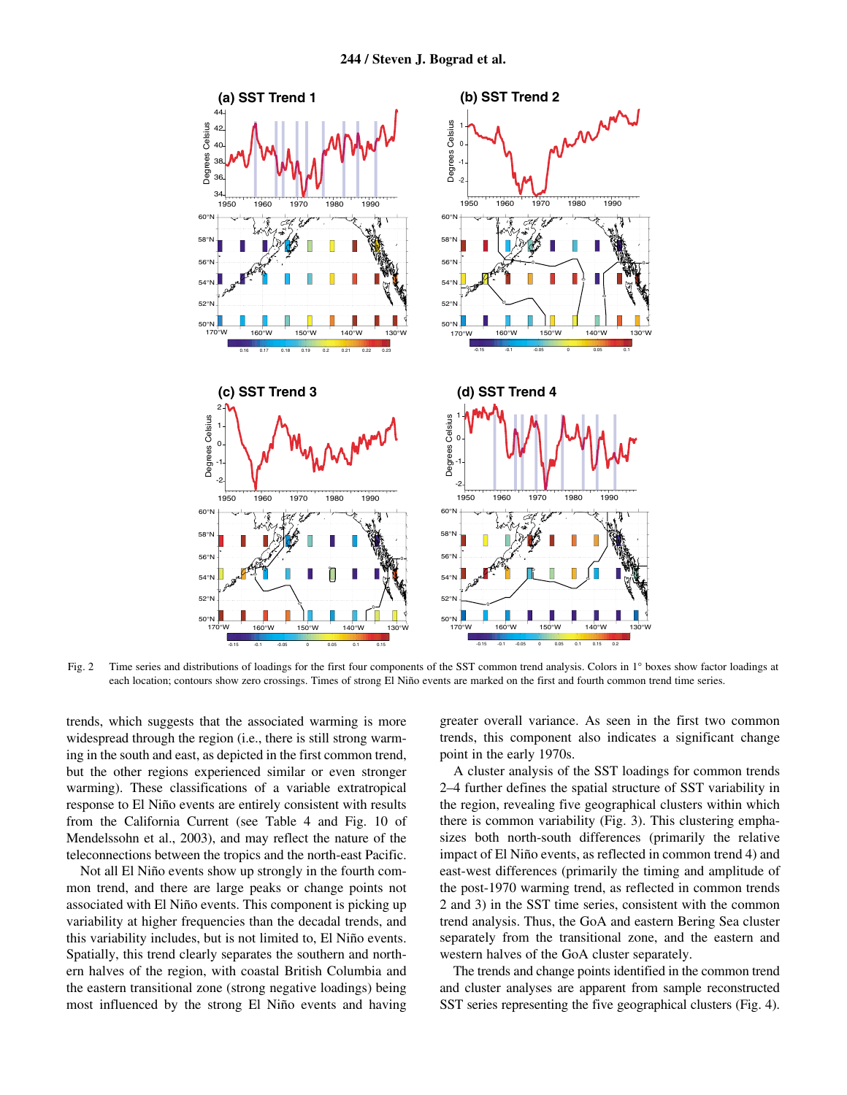

Fig. 2 Time series and distributions of loadings for the first four components of the SST common trend analysis. Colors in 1° boxes show factor loadings at each location; contours show zero crossings. Times of strong El Niño events are marked on the first and fourth common trend time series.

trends, which suggests that the associated warming is more widespread through the region (i.e., there is still strong warming in the south and east, as depicted in the first common trend, but the other regions experienced similar or even stronger warming). These classifications of a variable extratropical response to El Niño events are entirely consistent with results from the California Current (see Table 4 and Fig. 10 of Mendelssohn et al., 2003), and may reflect the nature of the teleconnections between the tropics and the north-east Pacific.

Not all El Niño events show up strongly in the fourth common trend, and there are large peaks or change points not associated with El Niño events. This component is picking up variability at higher frequencies than the decadal trends, and this variability includes, but is not limited to, El Niño events. Spatially, this trend clearly separates the southern and northern halves of the region, with coastal British Columbia and the eastern transitional zone (strong negative loadings) being most influenced by the strong El Niño events and having

greater overall variance. As seen in the first two common trends, this component also indicates a significant change point in the early 1970s.

A cluster analysis of the SST loadings for common trends 2–4 further defines the spatial structure of SST variability in the region, revealing five geographical clusters within which there is common variability (Fig. 3). This clustering emphasizes both north-south differences (primarily the relative impact of El Niño events, as reflected in common trend 4) and east-west differences (primarily the timing and amplitude of the post-1970 warming trend, as reflected in common trends 2 and 3) in the SST time series, consistent with the common trend analysis. Thus, the GoA and eastern Bering Sea cluster separately from the transitional zone, and the eastern and western halves of the GoA cluster separately.

The trends and change points identified in the common trend and cluster analyses are apparent from sample reconstructed SST series representing the five geographical clusters (Fig. 4).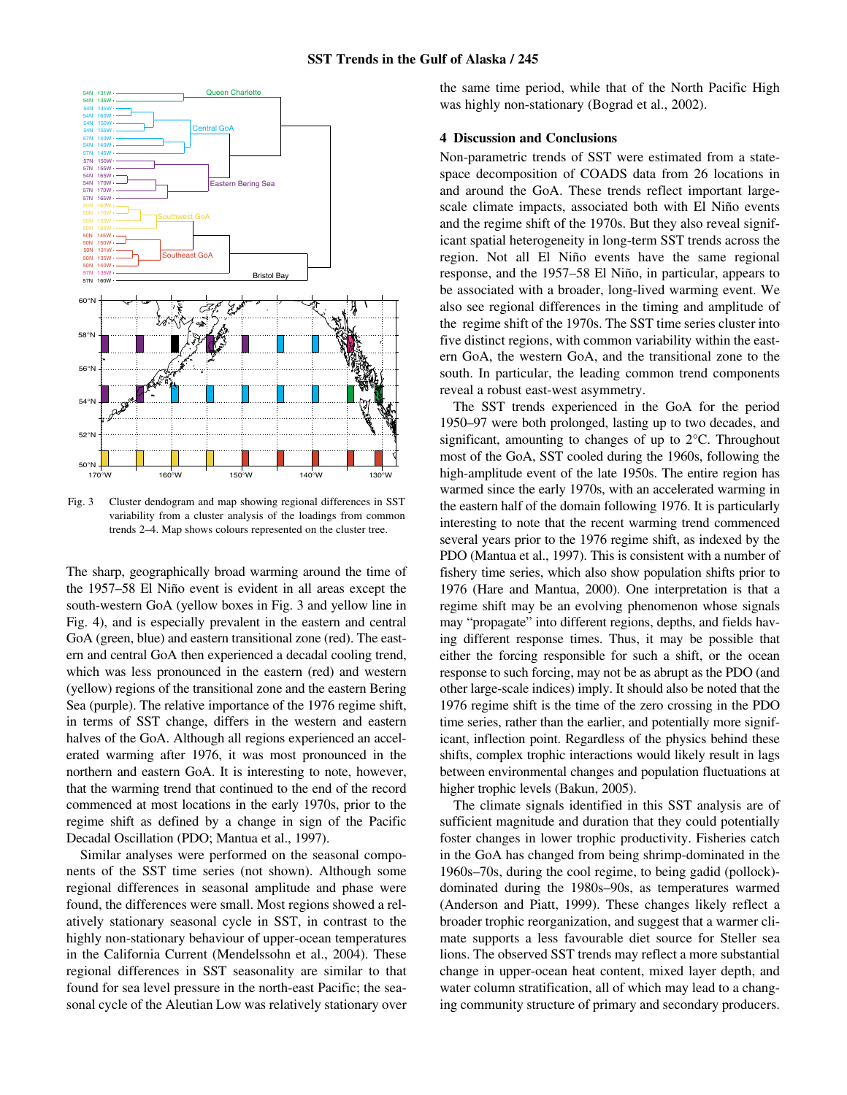

Fig. 3 Cluster dendogram and map showing regional differences in SST variability from a cluster analysis of the loadings from common trends 2–4. Map shows colours represented on the cluster tree.

The sharp, geographically broad warming around the time of the 1957–58 El Niño event is evident in all areas except the south-western GoA (yellow boxes in Fig. 3 and yellow line in Fig. 4), and is especially prevalent in the eastern and central GoA (green, blue) and eastern transitional zone (red). The eastern and central GoA then experienced a decadal cooling trend, which was less pronounced in the eastern (red) and western (yellow) regions of the transitional zone and the eastern Bering Sea (purple). The relative importance of the 1976 regime shift, in terms of SST change, differs in the western and eastern halves of the GoA. Although all regions experienced an accelerated warming after 1976, it was most pronounced in the northern and eastern GoA. It is interesting to note, however, that the warming trend that continued to the end of the record commenced at most locations in the early 1970s, prior to the regime shift as defined by a change in sign of the Pacific Decadal Oscillation (PDO; Mantua et al., 1997).

Similar analyses were performed on the seasonal components of the SST time series (not shown). Although some regional differences in seasonal amplitude and phase were found, the differences were small. Most regions showed a relatively stationary seasonal cycle in SST, in contrast to the highly non-stationary behaviour of upper-ocean temperatures in the California Current (Mendelssohn et al., 2004). These regional differences in SST seasonality are similar to that found for sea level pressure in the north-east Pacific; the seasonal cycle of the Aleutian Low was relatively stationary over the same time period, while that of the North Pacific High was highly non-stationary (Bograd et al., 2002).

## **4 Discussion and Conclusions**

Non-parametric trends of SST were estimated from a statespace decomposition of COADS data from 26 locations in and around the GoA. These trends reflect important largescale climate impacts, associated both with El Niño events and the regime shift of the 1970s. But they also reveal significant spatial heterogeneity in long-term SST trends across the region. Not all El Niño events have the same regional response, and the 1957–58 El Niño, in particular, appears to be associated with a broader, long-lived warming event. We also see regional differences in the timing and amplitude of the regime shift of the 1970s. The SST time series cluster into five distinct regions, with common variability within the eastern GoA, the western GoA, and the transitional zone to the south. In particular, the leading common trend components reveal a robust east-west asymmetry.

The SST trends experienced in the GoA for the period 1950–97 were both prolonged, lasting up to two decades, and significant, amounting to changes of up to 2°C. Throughout most of the GoA, SST cooled during the 1960s, following the high-amplitude event of the late 1950s. The entire region has warmed since the early 1970s, with an accelerated warming in the eastern half of the domain following 1976. It is particularly interesting to note that the recent warming trend commenced several years prior to the 1976 regime shift, as indexed by the PDO (Mantua et al., 1997). This is consistent with a number of fishery time series, which also show population shifts prior to 1976 (Hare and Mantua, 2000). One interpretation is that a regime shift may be an evolving phenomenon whose signals may "propagate" into different regions, depths, and fields having different response times. Thus, it may be possible that either the forcing responsible for such a shift, or the ocean response to such forcing, may not be as abrupt as the PDO (and other large-scale indices) imply. It should also be noted that the 1976 regime shift is the time of the zero crossing in the PDO time series, rather than the earlier, and potentially more significant, inflection point. Regardless of the physics behind these shifts, complex trophic interactions would likely result in lags between environmental changes and population fluctuations at higher trophic levels (Bakun, 2005).

The climate signals identified in this SST analysis are of sufficient magnitude and duration that they could potentially foster changes in lower trophic productivity. Fisheries catch in the GoA has changed from being shrimp-dominated in the 1960s–70s, during the cool regime, to being gadid (pollock) dominated during the 1980s–90s, as temperatures warmed (Anderson and Piatt, 1999). These changes likely reflect a broader trophic reorganization, and suggest that a warmer climate supports a less favourable diet source for Steller sea lions. The observed SST trends may reflect a more substantial change in upper-ocean heat content, mixed layer depth, and water column stratification, all of which may lead to a changing community structure of primary and secondary producers.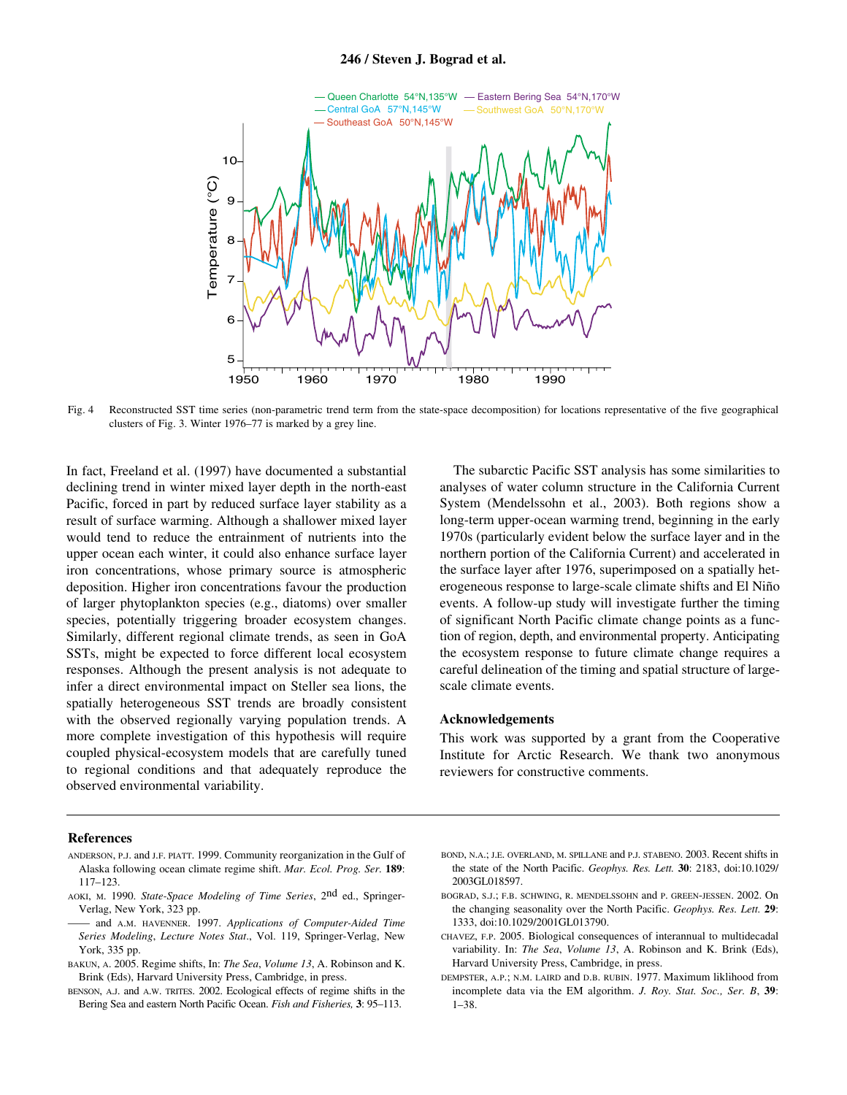

Fig. 4 Reconstructed SST time series (non-parametric trend term from the state-space decomposition) for locations representative of the five geographical clusters of Fig. 3. Winter 1976–77 is marked by a grey line.

In fact, Freeland et al. (1997) have documented a substantial declining trend in winter mixed layer depth in the north-east Pacific, forced in part by reduced surface layer stability as a result of surface warming. Although a shallower mixed layer would tend to reduce the entrainment of nutrients into the upper ocean each winter, it could also enhance surface layer iron concentrations, whose primary source is atmospheric deposition. Higher iron concentrations favour the production of larger phytoplankton species (e.g., diatoms) over smaller species, potentially triggering broader ecosystem changes. Similarly, different regional climate trends, as seen in GoA SSTs, might be expected to force different local ecosystem responses. Although the present analysis is not adequate to infer a direct environmental impact on Steller sea lions, the spatially heterogeneous SST trends are broadly consistent with the observed regionally varying population trends. A more complete investigation of this hypothesis will require coupled physical-ecosystem models that are carefully tuned to regional conditions and that adequately reproduce the observed environmental variability.

The subarctic Pacific SST analysis has some similarities to analyses of water column structure in the California Current System (Mendelssohn et al., 2003). Both regions show a long-term upper-ocean warming trend, beginning in the early 1970s (particularly evident below the surface layer and in the northern portion of the California Current) and accelerated in the surface layer after 1976, superimposed on a spatially heterogeneous response to large-scale climate shifts and El Niño events. A follow-up study will investigate further the timing of significant North Pacific climate change points as a function of region, depth, and environmental property. Anticipating the ecosystem response to future climate change requires a careful delineation of the timing and spatial structure of largescale climate events.

#### **Acknowledgements**

This work was supported by a grant from the Cooperative Institute for Arctic Research. We thank two anonymous reviewers for constructive comments.

#### **References**

- ANDERSON, P.J. and J.F. PIATT. 1999. Community reorganization in the Gulf of Alaska following ocean climate regime shift. *Mar. Ecol. Prog. Ser.* **189**: 117–123.
- AOKI, M. 1990. *State-Space Modeling of Time Series*, 2nd ed., Springer-Verlag, New York, 323 pp.
- —— and A.M. HAVENNER. 1997. *Applications of Computer-Aided Time Series Modeling*, *Lecture Notes Stat*., Vol. 119, Springer-Verlag, New York, 335 pp.
- BAKUN, A. 2005. Regime shifts, In: *The Sea*, *Volume 13*, A. Robinson and K. Brink (Eds), Harvard University Press, Cambridge, in press.
- BENSON, A.J. and A.W. TRITES. 2002. Ecological effects of regime shifts in the Bering Sea and eastern North Pacific Ocean. *Fish and Fisheries,* **3**: 95–113.
- BOND, N.A.; J.E. OVERLAND, M. SPILLANE and P.J. STABENO. 2003. Recent shifts in the state of the North Pacific. *Geophys. Res. Lett.* **30**: 2183, doi:10.1029/ 2003GL018597.
- BOGRAD, S.J.; F.B. SCHWING, R. MENDELSSOHN and P. GREEN-JESSEN. 2002. On the changing seasonality over the North Pacific. *Geophys. Res. Lett.* **29**: 1333, doi:10.1029/2001GL013790.
- CHAVEZ, F.P. 2005. Biological consequences of interannual to multidecadal variability. In: *The Sea*, *Volume 13*, A. Robinson and K. Brink (Eds), Harvard University Press, Cambridge, in press.
- DEMPSTER, A.P.; N.M. LAIRD and D.B. RUBIN. 1977. Maximum liklihood from incomplete data via the EM algorithm. *J. Roy. Stat. Soc., Ser. B*, **39**: 1–38.